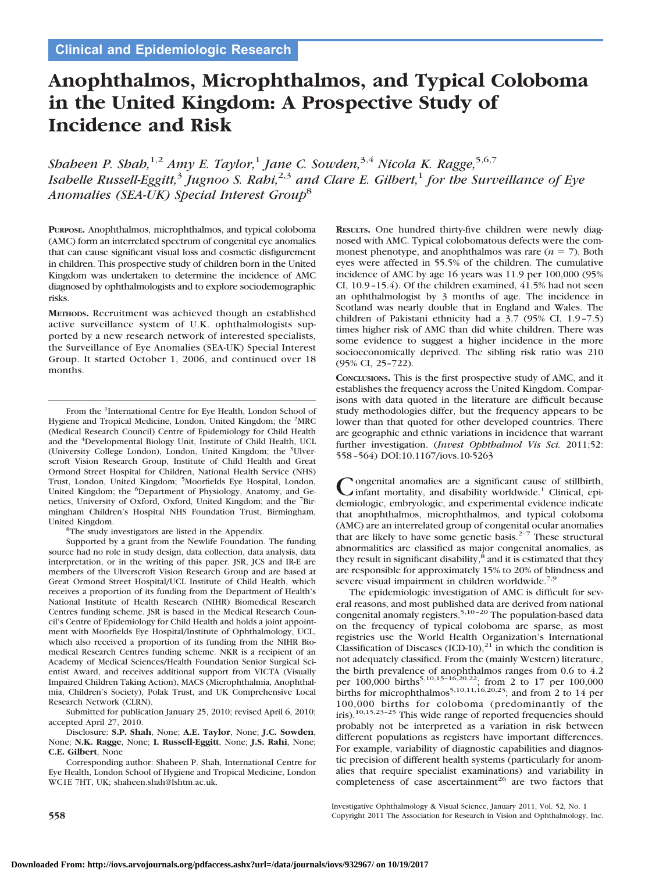# **Anophthalmos, Microphthalmos, and Typical Coloboma in the United Kingdom: A Prospective Study of Incidence and Risk**

*Shaheen P. Shah,*1,2 *Amy E. Taylor,*<sup>1</sup> *Jane C. Sowden,*3,4 *Nicola K. Ragge,*5,6,7 *Isabelle Russell-Eggitt,*<sup>3</sup> *Jugnoo S. Rahi,*2,3 *and Clare E. Gilbert,*<sup>1</sup> *for the Surveillance of Eye Anomalies (SEA-UK) Special Interest Group*<sup>8</sup>

**PURPOSE.** Anophthalmos, microphthalmos, and typical coloboma (AMC) form an interrelated spectrum of congenital eye anomalies that can cause significant visual loss and cosmetic disfigurement in children. This prospective study of children born in the United Kingdom was undertaken to determine the incidence of AMC diagnosed by ophthalmologists and to explore sociodemographic risks.

**METHODS.** Recruitment was achieved though an established active surveillance system of U.K. ophthalmologists supported by a new research network of interested specialists, the Surveillance of Eye Anomalies (SEA-UK) Special Interest Group. It started October 1, 2006, and continued over 18 months.

From the <sup>1</sup>International Centre for Eye Health, London School of Hygiene and Tropical Medicine, London, United Kingdom; the <sup>2</sup>MRC (Medical Research Council) Centre of Epidemiology for Child Health and the <sup>4</sup>Developmental Biology Unit, Institute of Child Health, UCL (University College London), London, United Kingdom; the <sup>3</sup>Ulverscroft Vision Research Group, Institute of Child Health and Great Ormond Street Hospital for Children, National Health Service (NHS) Trust, London, United Kingdom; 5Moorfields Eye Hospital, London, United Kingdom; the <sup>6</sup>Department of Physiology, Anatomy, and Genetics, University of Oxford, Oxford, United Kingdom; and the <sup>7</sup>Birmingham Children's Hospital NHS Foundation Trust, Birmingham, United Kingdom. <sup>8</sup>

<sup>8</sup>The study investigators are listed in the Appendix.

Supported by a grant from the Newlife Foundation. The funding source had no role in study design, data collection, data analysis, data interpretation, or in the writing of this paper. JSR, JCS and IR-E are members of the Ulverscroft Vision Research Group and are based at Great Ormond Street Hospital/UCL Institute of Child Health, which receives a proportion of its funding from the Department of Health's National Institute of Health Research (NIHR) Biomedical Research Centres funding scheme. JSR is based in the Medical Research Council's Centre of Epidemiology for Child Health and holds a joint appointment with Moorfields Eye Hospital/Institute of Ophthalmology, UCL, which also received a proportion of its funding from the NIHR Biomedical Research Centres funding scheme. NKR is a recipient of an Academy of Medical Sciences/Health Foundation Senior Surgical Scientist Award, and receives additional support from VICTA (Visually Impaired Children Taking Action), MACS (Microphthalmia, Anophthalmia, Children's Society), Polak Trust, and UK Comprehensive Local Research Network (CLRN).

Submitted for publication January 25, 2010; revised April 6, 2010; accepted April 27, 2010.

Disclosure: **S.P. Shah**, None; **A.E. Taylor**, None; **J.C. Sowden**, None; **N.K. Ragge**, None; **I. Russell-Eggitt**, None; **J.S. Rahi**, None; **C.E. Gilbert**, None

Corresponding author: Shaheen P. Shah, International Centre for Eye Health, London School of Hygiene and Tropical Medicine, London WC1E 7HT, UK; shaheen.shah@lshtm.ac.uk.

**RESULTS.** One hundred thirty-five children were newly diagnosed with AMC. Typical colobomatous defects were the commonest phenotype, and anophthalmos was rare  $(n = 7)$ . Both eyes were affected in 55.5% of the children. The cumulative incidence of AMC by age 16 years was 11.9 per 100,000 (95% CI, 10.9 –15.4). Of the children examined, 41.5% had not seen an ophthalmologist by 3 months of age. The incidence in Scotland was nearly double that in England and Wales. The children of Pakistani ethnicity had a 3.7 (95% CI, 1.9 –7.5) times higher risk of AMC than did white children. There was some evidence to suggest a higher incidence in the more socioeconomically deprived. The sibling risk ratio was 210 (95% CI, 25–722).

**CONCLUSIONS.** This is the first prospective study of AMC, and it establishes the frequency across the United Kingdom. Comparisons with data quoted in the literature are difficult because study methodologies differ, but the frequency appears to be lower than that quoted for other developed countries. There are geographic and ethnic variations in incidence that warrant further investigation. (*Invest Ophthalmol Vis Sci.* 2011;52: 558 –564) DOI:10.1167/iovs.10-5263

Congenital anomalies are a significant cause of stillbirth,<br>infant mortality, and disability worldwide.<sup>1</sup> Clinical, epi-<br>demislatic care worldwide.<sup>1</sup> clinical, epidemiologic, embryologic, and experimental evidence indicate that anophthalmos, microphthalmos, and typical coloboma (AMC) are an interrelated group of congenital ocular anomalies that are likely to have some genetic basis. $2-7$  These structural abnormalities are classified as major congenital anomalies, as they result in significant disability, $\stackrel{6}{\sim}$  and it is estimated that they are responsible for approximately 15% to 20% of blindness and severe visual impairment in children worldwide.<sup>7,9</sup>

The epidemiologic investigation of AMC is difficult for several reasons, and most published data are derived from national congenital anomaly registers.<sup>5,10-20</sup> The population-based data on the frequency of typical coloboma are sparse, as most registries use the World Health Organization's International Classification of Diseases (ICD-10), $^{21}$  in which the condition is not adequately classified. From the (mainly Western) literature, the birth prevalence of anophthalmos ranges from 0.6 to 4.2 per  $100,000$  births<sup>5,10,15–16,20,22</sup>; from 2 to 17 per 100,000 births for microphthalmos<sup>5,10,11,16,20,23</sup>; and from 2 to 14 per 100,000 births for coloboma (predominantly of the iris).10,15,23–25 This wide range of reported frequencies should probably not be interpreted as a variation in risk between different populations as registers have important differences. For example, variability of diagnostic capabilities and diagnostic precision of different health systems (particularly for anomalies that require specialist examinations) and variability in completeness of case ascertainment<sup>26</sup> are two factors that

Investigative Ophthalmology & Visual Science, January 2011, Vol. 52, No. 1 **558** Copyright 2011 The Association for Research in Vision and Ophthalmology, Inc.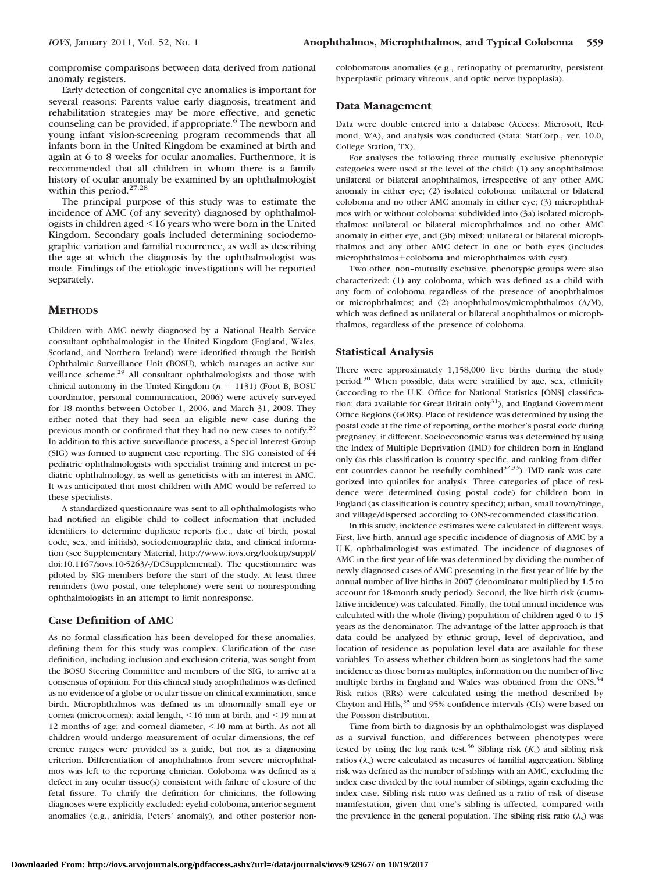compromise comparisons between data derived from national anomaly registers.

Early detection of congenital eye anomalies is important for several reasons: Parents value early diagnosis, treatment and rehabilitation strategies may be more effective, and genetic counseling can be provided, if appropriate.<sup>6</sup> The newborn and young infant vision-screening program recommends that all infants born in the United Kingdom be examined at birth and again at 6 to 8 weeks for ocular anomalies. Furthermore, it is recommended that all children in whom there is a family history of ocular anomaly be examined by an ophthalmologist within this period.<sup>27,28</sup>

The principal purpose of this study was to estimate the incidence of AMC (of any severity) diagnosed by ophthalmologists in children aged -16 years who were born in the United Kingdom. Secondary goals included determining sociodemographic variation and familial recurrence, as well as describing the age at which the diagnosis by the ophthalmologist was made. Findings of the etiologic investigations will be reported separately.

# **METHODS**

Children with AMC newly diagnosed by a National Health Service consultant ophthalmologist in the United Kingdom (England, Wales, Scotland, and Northern Ireland) were identified through the British Ophthalmic Surveillance Unit (BOSU), which manages an active surveillance scheme.<sup>29</sup> All consultant ophthalmologists and those with clinical autonomy in the United Kingdom  $(n = 1131)$  (Foot B, BOSU coordinator, personal communication, 2006) were actively surveyed for 18 months between October 1, 2006, and March 31, 2008. They either noted that they had seen an eligible new case during the previous month or confirmed that they had no new cases to notify.29 In addition to this active surveillance process, a Special Interest Group (SIG) was formed to augment case reporting. The SIG consisted of 44 pediatric ophthalmologists with specialist training and interest in pediatric ophthalmology, as well as geneticists with an interest in AMC. It was anticipated that most children with AMC would be referred to these specialists.

A standardized questionnaire was sent to all ophthalmologists who had notified an eligible child to collect information that included identifiers to determine duplicate reports (i.e., date of birth, postal code, sex, and initials), sociodemographic data, and clinical information (see Supplementary Material, http://www.iovs.org/lookup/suppl/ doi:10.1167/iovs.10-5263/-/DCSupplemental). The questionnaire was piloted by SIG members before the start of the study. At least three reminders (two postal, one telephone) were sent to nonresponding ophthalmologists in an attempt to limit nonresponse.

### **Case Definition of AMC**

As no formal classification has been developed for these anomalies, defining them for this study was complex. Clarification of the case definition, including inclusion and exclusion criteria, was sought from the BOSU Steering Committee and members of the SIG, to arrive at a consensus of opinion. For this clinical study anophthalmos was defined as no evidence of a globe or ocular tissue on clinical examination, since birth. Microphthalmos was defined as an abnormally small eye or cornea (microcornea): axial length, <16 mm at birth, and <19 mm at 12 months of age; and corneal diameter,  $\leq$  10 mm at birth. As not all children would undergo measurement of ocular dimensions, the reference ranges were provided as a guide, but not as a diagnosing criterion. Differentiation of anophthalmos from severe microphthalmos was left to the reporting clinician. Coloboma was defined as a defect in any ocular tissue(s) consistent with failure of closure of the fetal fissure. To clarify the definition for clinicians, the following diagnoses were explicitly excluded: eyelid coloboma, anterior segment anomalies (e.g., aniridia, Peters' anomaly), and other posterior non-

colobomatous anomalies (e.g., retinopathy of prematurity, persistent hyperplastic primary vitreous, and optic nerve hypoplasia).

#### **Data Management**

Data were double entered into a database (Access; Microsoft, Redmond, WA), and analysis was conducted (Stata; StatCorp., ver. 10.0, College Station, TX).

For analyses the following three mutually exclusive phenotypic categories were used at the level of the child: (1) any anophthalmos: unilateral or bilateral anophthalmos, irrespective of any other AMC anomaly in either eye; (2) isolated coloboma: unilateral or bilateral coloboma and no other AMC anomaly in either eye; (3) microphthalmos with or without coloboma: subdivided into (3a) isolated microphthalmos: unilateral or bilateral microphthalmos and no other AMC anomaly in either eye, and (3b) mixed: unilateral or bilateral microphthalmos and any other AMC defect in one or both eyes (includes microphthalmos+coloboma and microphthalmos with cyst).

Two other, non–mutually exclusive, phenotypic groups were also characterized: (1) any coloboma, which was defined as a child with any form of coloboma regardless of the presence of anophthalmos or microphthalmos; and (2) anophthalmos/microphthalmos (A/M), which was defined as unilateral or bilateral anophthalmos or microphthalmos, regardless of the presence of coloboma.

#### **Statistical Analysis**

There were approximately 1,158,000 live births during the study period.30 When possible, data were stratified by age, sex, ethnicity (according to the U.K. Office for National Statistics [ONS] classification; data available for Great Britain only $31$ ), and England Government Office Regions (GORs). Place of residence was determined by using the postal code at the time of reporting, or the mother's postal code during pregnancy, if different. Socioeconomic status was determined by using the Index of Multiple Deprivation (IMD) for children born in England only (as this classification is country specific, and ranking from different countries cannot be usefully combined<sup>32,33</sup>). IMD rank was categorized into quintiles for analysis. Three categories of place of residence were determined (using postal code) for children born in England (as classification is country specific); urban, small town/fringe, and village/dispersed according to ONS-recommended classification.

In this study, incidence estimates were calculated in different ways. First, live birth, annual age-specific incidence of diagnosis of AMC by a U.K. ophthalmologist was estimated. The incidence of diagnoses of AMC in the first year of life was determined by dividing the number of newly diagnosed cases of AMC presenting in the first year of life by the annual number of live births in 2007 (denominator multiplied by 1.5 to account for 18-month study period). Second, the live birth risk (cumulative incidence) was calculated. Finally, the total annual incidence was calculated with the whole (living) population of children aged 0 to 15 years as the denominator. The advantage of the latter approach is that data could be analyzed by ethnic group, level of deprivation, and location of residence as population level data are available for these variables. To assess whether children born as singletons had the same incidence as those born as multiples, information on the number of live multiple births in England and Wales was obtained from the ONS.<sup>34</sup> Risk ratios (RRs) were calculated using the method described by Clayton and Hills,<sup>35</sup> and 95% confidence intervals (CIs) were based on the Poisson distribution.

Time from birth to diagnosis by an ophthalmologist was displayed as a survival function, and differences between phenotypes were tested by using the log rank test.<sup>36</sup> Sibling risk  $(K_s)$  and sibling risk ratios  $(\lambda_s)$  were calculated as measures of familial aggregation. Sibling risk was defined as the number of siblings with an AMC, excluding the index case divided by the total number of siblings, again excluding the index case. Sibling risk ratio was defined as a ratio of risk of disease manifestation, given that one's sibling is affected, compared with the prevalence in the general population. The sibling risk ratio  $(\lambda_s)$  was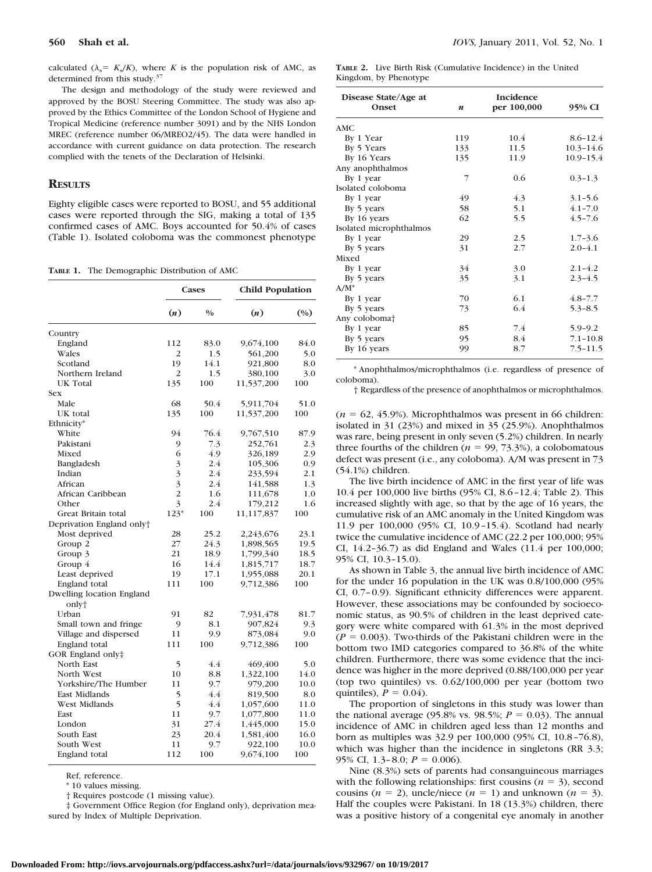calculated ( $\lambda_s = K_s/K$ ), where *K* is the population risk of AMC, as determined from this study.37

The design and methodology of the study were reviewed and approved by the BOSU Steering Committee. The study was also approved by the Ethics Committee of the London School of Hygiene and Tropical Medicine (reference number 3091) and by the NHS London MREC (reference number 06/MREO2/45). The data were handled in accordance with current guidance on data protection. The research complied with the tenets of the Declaration of Helsinki.

# **RESULTS**

Eighty eligible cases were reported to BOSU, and 55 additional cases were reported through the SIG, making a total of 135 confirmed cases of AMC. Boys accounted for 50.4% of cases (Table 1). Isolated coloboma was the commonest phenotype

**TABLE 1.** The Demographic Distribution of AMC

|                                                | Cases                   |               | <b>Child Population</b> |       |
|------------------------------------------------|-------------------------|---------------|-------------------------|-------|
|                                                | (n)                     | $\frac{0}{0}$ | (n)                     | (0/0) |
| Country                                        |                         |               |                         |       |
| England                                        | 112                     | 83.0          | 9,674,100               | 84.0  |
| Wales                                          | $\overline{c}$          | 1.5           | 561,200                 | 5.0   |
| Scotland                                       | 19                      | 14.1          | 921,800                 | 8.0   |
| Northern Ireland                               | $\overline{2}$          | 1.5           | 380,100                 | 3.0   |
| <b>UK Total</b>                                | 135                     | 100           | 11,537,200              | 100   |
| <b>Sex</b>                                     |                         |               |                         |       |
| Male                                           | 68                      | 50.4          | 5,911,704               | 51.0  |
| UK total                                       | 135                     | 100           | 11,537,200              | 100   |
| Ethnicity*                                     |                         |               |                         |       |
| White                                          | 94                      | 76.4          | 9,767,510               | 87.9  |
| Pakistani                                      | 9                       | 7.3           | 252,761                 | 2.3   |
| Mixed                                          | 6                       | 4.9           | 326,189                 | 2.9   |
| Bangladesh                                     | 3                       | 2.4           | 105,306                 | 0.9   |
| Indian                                         | 3                       | 2.4           | 233,594                 | 2.1   |
| African                                        | $\overline{\mathbf{3}}$ | 2.4           | 141,588                 | 1.3   |
| African Caribbean                              | $\overline{2}$          | 1.6           | 111,678                 | 1.0   |
| Other                                          | $\overline{3}$          | 2.4           | 179,212                 | 1.6   |
| Great Britain total                            | $123*$                  | 100           | 11,117,837              | 100   |
| Deprivation England only                       |                         |               |                         |       |
| Most deprived                                  | 28                      | 25.2          | 2,243,676               | 23.1  |
| Group 2                                        | 27                      | 24.3          | 1,898,565               | 19.5  |
| Group 3                                        | 21                      | 18.9          | 1,799,340               | 18.5  |
| Group $4$                                      | 16                      | 14.4          | 1,815,717               | 18.7  |
| Least deprived                                 | 19                      | 17.1          | 1,955,088               | 20.1  |
| England total                                  | 111                     | 100           | 9,712,386               | 100   |
| Dwelling location England<br>only <sup>+</sup> |                         |               |                         |       |
| Urban                                          | 91                      | 82            | 7,931,478               | 81.7  |
| Small town and fringe                          | 9                       | 8.1           | 907,824                 | 9.3   |
| Village and dispersed                          | 11                      | 9.9           | 873,084                 | 9.0   |
| England total                                  | 111                     | 100           | 9,712,386               | 100   |
| GOR England only:                              |                         |               |                         |       |
| North East                                     | 5                       | 4.4           | 469,400                 | 5.0   |
| North West                                     | 10                      | 8.8           | 1,322,100               | 14.0  |
| Yorkshire/The Humber                           | 11                      | 9.7           | 979,200                 | 10.0  |
| East Midlands                                  | 5                       | 4.4           | 819,500                 | 8.0   |
| West Midlands                                  | 5                       | 4.4           | 1,057,600               | 11.0  |
| <b>East</b>                                    | 11                      | 9.7           | 1,077,800               | 11.0  |
| London                                         | 31                      | 27.4          | 1,445,000               | 15.0  |
| South East                                     | 23                      | 20.4          | 1,581,400               | 16.0  |
| South West                                     | 11                      | 9.7           | 922,100                 | 10.0  |
| England total                                  | 112                     | 100           | 9,674,100               | 100   |

Ref, reference.

\* 10 values missing.

† Requires postcode (1 missing value).

‡ Government Office Region (for England only), deprivation measured by Index of Multiple Deprivation.

**TABLE 2.** Live Birth Risk (Cumulative Incidence) in the United Kingdom, by Phenotype

| <b>Incidence</b><br>per 100,000<br>$\boldsymbol{n}$ |                | 95% CI        |  |
|-----------------------------------------------------|----------------|---------------|--|
|                                                     |                |               |  |
| 119                                                 | 10.4           | $8.6 - 12.4$  |  |
| 133                                                 | 11.5           | $10.3 - 14.6$ |  |
| 135                                                 | 11.9           | $10.9 - 15.4$ |  |
|                                                     |                |               |  |
| 7                                                   | 0.6            | $0.3 - 1.3$   |  |
|                                                     |                |               |  |
| 49                                                  | 4.3            | $3.1 - 5.6$   |  |
| 58                                                  | 5.1            | $4.1 - 7.0$   |  |
| 62                                                  | 5.5            | $4.5 - 7.6$   |  |
|                                                     |                |               |  |
| 29                                                  | 2.5            | $1.7 - 3.6$   |  |
| 31                                                  | 2.7            | $2.0 - 4.1$   |  |
|                                                     |                |               |  |
| 34                                                  | 3.0            | $2.1 - 4.2$   |  |
|                                                     |                | $2.3 - 4.5$   |  |
|                                                     |                |               |  |
| 70                                                  | 6.1            | $4.8 - 7.7$   |  |
|                                                     | 6.4            | $5.3 - 8.5$   |  |
|                                                     |                |               |  |
| 85                                                  | 7.4            | $5.9 - 9.2$   |  |
|                                                     | 8.4            | $7.1 - 10.8$  |  |
| 99                                                  | 8.7            | $7.5 - 11.5$  |  |
|                                                     | 35<br>73<br>95 | 3.1           |  |

\* Anophthalmos/microphthalmos (i.e. regardless of presence of coloboma).

† Regardless of the presence of anophthalmos or microphthalmos.

 $(n = 62, 45.9\%)$ . Microphthalmos was present in 66 children: isolated in 31 (23%) and mixed in 35 (25.9%). Anophthalmos was rare, being present in only seven (5.2%) children. In nearly three fourths of the children ( $n = 99, 73.3\%$ ), a colobomatous defect was present (i.e., any coloboma). A/M was present in 73 (54.1%) children.

The live birth incidence of AMC in the first year of life was 10.4 per 100,000 live births (95% CI, 8.6 –12.4; Table 2). This increased slightly with age, so that by the age of 16 years, the cumulative risk of an AMC anomaly in the United Kingdom was 11.9 per 100,000 (95% CI, 10.9 –15.4). Scotland had nearly twice the cumulative incidence of AMC (22.2 per 100,000; 95% CI, 14.2–36.7) as did England and Wales (11.4 per 100,000; 95% CI, 10.3–15.0).

As shown in Table 3, the annual live birth incidence of AMC for the under 16 population in the UK was 0.8/100,000 (95% CI, 0.7– 0.9). Significant ethnicity differences were apparent. However, these associations may be confounded by socioeconomic status, as 90.5% of children in the least deprived category were white compared with 61.3% in the most deprived  $(P = 0.003)$ . Two-thirds of the Pakistani children were in the bottom two IMD categories compared to 36.8% of the white children. Furthermore, there was some evidence that the incidence was higher in the more deprived (0.88/100,000 per year (top two quintiles) vs. 0.62/100,000 per year (bottom two quintiles),  $P = 0.04$ .

The proportion of singletons in this study was lower than the national average (95.8% vs. 98.5%;  $P = 0.03$ ). The annual incidence of AMC in children aged less than 12 months and born as multiples was 32.9 per 100,000 (95% CI, 10.8 –76.8), which was higher than the incidence in singletons (RR 3.3; 95% CI, 1.3-8.0;  $P = 0.006$ ).

Nine (8.3%) sets of parents had consanguineous marriages with the following relationships: first cousins  $(n = 3)$ , second cousins  $(n = 2)$ , uncle/niece  $(n = 1)$  and unknown  $(n = 3)$ . Half the couples were Pakistani. In 18 (13.3%) children, there was a positive history of a congenital eye anomaly in another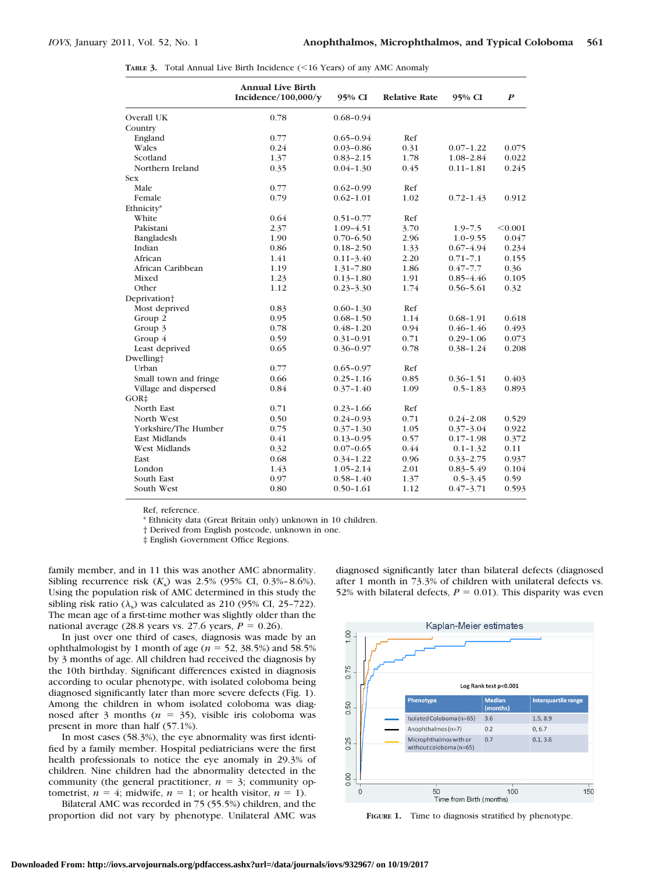| <b>TABLE 3.</b> Total Annual Live Birth Incidence $(<16$ Years) of any AMC Anomaly |  |  |  |
|------------------------------------------------------------------------------------|--|--|--|
|------------------------------------------------------------------------------------|--|--|--|

|                          | <b>Annual Live Birth</b><br>Incidence/100,000/y | 95% CI        | <b>Relative Rate</b> | 95% CI        | $\boldsymbol{P}$ |
|--------------------------|-------------------------------------------------|---------------|----------------------|---------------|------------------|
| Overall UK               | 0.78                                            | $0.68 - 0.94$ |                      |               |                  |
| Country                  |                                                 |               |                      |               |                  |
| England                  | 0.77                                            | $0.65 - 0.94$ | Ref                  |               |                  |
| Wales                    | 0.24                                            | $0.03 - 0.86$ | 0.31                 | $0.07 - 1.22$ | 0.075            |
| Scotland                 | 1.37                                            | $0.83 - 2.15$ | 1.78                 | 1.08-2.84     | 0.022            |
| Northern Ireland         | 0.35                                            | $0.04 - 1.30$ | 0.45                 | $0.11 - 1.81$ | 0.245            |
| <b>Sex</b>               |                                                 |               |                      |               |                  |
| Male                     | 0.77                                            | $0.62 - 0.99$ | Ref                  |               |                  |
| Female                   | 0.79                                            | $0.62 - 1.01$ | 1.02                 | $0.72 - 1.43$ | 0.912            |
| Ethnicity*               |                                                 |               |                      |               |                  |
| White                    | 0.64                                            | $0.51 - 0.77$ | Ref                  |               |                  |
| Pakistani                | 2.37                                            | $1.09 - 4.51$ | 3.70                 | $1.9 - 7.5$   | < 0.001          |
| Bangladesh               | 1.90                                            | $0.70 - 6.50$ | 2.96                 | $1.0 - 9.55$  | 0.047            |
| Indian                   | 0.86                                            | $0.18 - 2.50$ | 1.33                 | $0.67 - 4.94$ | 0.234            |
| African                  | 1.41                                            | $0.11 - 3.40$ | 2.20                 | $0.71 - 7.1$  | 0.155            |
| African Caribbean        | 1.19                                            | $1.31 - 7.80$ | 1.86                 | $0.47 - 7.7$  | 0.36             |
| Mixed                    | 1.23                                            | $0.13 - 1.80$ | 1.91                 | $0.85 - 4.46$ | 0.105            |
| Other                    | 1.12                                            | $0.23 - 3.30$ | 1.74                 | $0.56 - 5.61$ | 0.32             |
| Deprivation <sup>+</sup> |                                                 |               |                      |               |                  |
| Most deprived            | 0.83                                            | $0.60 - 1.30$ | Ref                  |               |                  |
| Group 2                  | 0.95                                            | $0.68 - 1.50$ | 1.14                 | $0.68 - 1.91$ | 0.618            |
| Group 3                  | 0.78                                            | $0.48 - 1.20$ | 0.94                 | $0.46 - 1.46$ | 0.493            |
| Group $4$                | 0.59                                            | $0.31 - 0.91$ | 0.71                 | $0.29 - 1.06$ | 0.073            |
| Least deprived           | 0.65                                            | $0.36 - 0.97$ | 0.78                 | $0.38 - 1.24$ | 0.208            |
| Dwelling <sup>+</sup>    |                                                 |               |                      |               |                  |
| Urban                    | 0.77                                            | $0.65 - 0.97$ | Ref                  |               |                  |
| Small town and fringe    | 0.66                                            | $0.25 - 1.16$ | 0.85                 | $0.36 - 1.51$ | 0.403            |
| Village and dispersed    | 0.84                                            | $0.37 - 1.40$ | 1.09                 | $0.5 - 1.83$  | 0.893            |
| GOR‡                     |                                                 |               |                      |               |                  |
| North East               | 0.71                                            | $0.23 - 1.66$ | Ref                  |               |                  |
| North West               | 0.50                                            | $0.24 - 0.93$ | 0.71                 | $0.24 - 2.08$ | 0.529            |
| Yorkshire/The Humber     | 0.75                                            | $0.37 - 1.30$ | 1.05                 | $0.37 - 3.04$ | 0.922            |
| <b>East Midlands</b>     | 0.41                                            | $0.13 - 0.95$ | 0.57                 | $0.17 - 1.98$ | 0.372            |
| <b>West Midlands</b>     | 0.32                                            | $0.07 - 0.65$ | 0.44                 | $0.1 - 1.32$  | 0.11             |
| East                     | 0.68                                            | $0.34 - 1.22$ | 0.96                 | $0.33 - 2.75$ | 0.937            |
| London                   | 1.43                                            | $1.05 - 2.14$ | 2.01                 | $0.83 - 5.49$ | 0.104            |
| South East               | 0.97                                            | $0.58 - 1.40$ | 1.37                 | $0.5 - 3.45$  | 0.59             |
| South West               | 0.80                                            | $0.50 - 1.61$ | 1.12                 | $0.47 - 3.71$ | 0.593            |

Ref, reference.

\* Ethnicity data (Great Britain only) unknown in 10 children.

† Derived from English postcode, unknown in one.

‡ English Government Office Regions.

family member, and in 11 this was another AMC abnormality. Sibling recurrence risk  $(K_s)$  was 2.5% (95% CI, 0.3%–8.6%). Using the population risk of AMC determined in this study the sibling risk ratio  $(\lambda_s)$  was calculated as 210 (95% CI, 25-722). The mean age of a first-time mother was slightly older than the national average (28.8 years vs. 27.6 years,  $P = 0.26$ ).

In just over one third of cases, diagnosis was made by an ophthalmologist by 1 month of age ( $n = 52, 38.5\%$ ) and 58.5% by 3 months of age. All children had received the diagnosis by the 10th birthday. Significant differences existed in diagnosis according to ocular phenotype, with isolated coloboma being diagnosed significantly later than more severe defects (Fig. 1). Among the children in whom isolated coloboma was diagnosed after 3 months ( $n = 35$ ), visible iris coloboma was present in more than half (57.1%).

In most cases (58.3%), the eye abnormality was first identified by a family member. Hospital pediatricians were the first health professionals to notice the eye anomaly in 29.3% of children. Nine children had the abnormality detected in the community (the general practitioner,  $n = 3$ ; community optometrist,  $n = 4$ ; midwife,  $n = 1$ ; or health visitor,  $n = 1$ ).

Bilateral AMC was recorded in 75 (55.5%) children, and the proportion did not vary by phenotype. Unilateral AMC was diagnosed significantly later than bilateral defects (diagnosed after 1 month in 73.3% of children with unilateral defects vs. 52% with bilateral defects,  $P = 0.01$ ). This disparity was even



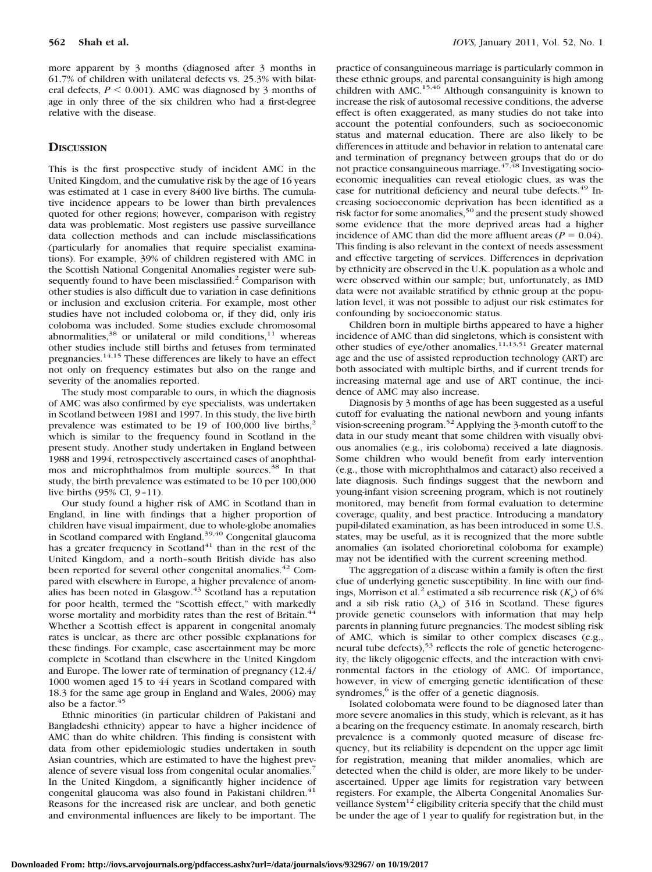more apparent by 3 months (diagnosed after 3 months in 61.7% of children with unilateral defects vs. 25.3% with bilateral defects,  $P \le 0.001$ ). AMC was diagnosed by 3 months of age in only three of the six children who had a first-degree relative with the disease.

# **DISCUSSION**

This is the first prospective study of incident AMC in the United Kingdom, and the cumulative risk by the age of 16 years was estimated at 1 case in every 8400 live births. The cumulative incidence appears to be lower than birth prevalences quoted for other regions; however, comparison with registry data was problematic. Most registers use passive surveillance data collection methods and can include misclassifications (particularly for anomalies that require specialist examinations). For example, 39% of children registered with AMC in the Scottish National Congenital Anomalies register were subsequently found to have been misclassified.<sup>2</sup> Comparison with other studies is also difficult due to variation in case definitions or inclusion and exclusion criteria. For example, most other studies have not included coloboma or, if they did, only iris coloboma was included. Some studies exclude chromosomal abnormalities, $38$  or unilateral or mild conditions, $11$  whereas other studies include still births and fetuses from terminated pregnancies.14,15 These differences are likely to have an effect not only on frequency estimates but also on the range and severity of the anomalies reported.

The study most comparable to ours, in which the diagnosis of AMC was also confirmed by eye specialists, was undertaken in Scotland between 1981 and 1997. In this study, the live birth prevalence was estimated to be 19 of 100,000 live births, $2$ which is similar to the frequency found in Scotland in the present study. Another study undertaken in England between 1988 and 1994, retrospectively ascertained cases of anophthalmos and microphthalmos from multiple sources.38 In that study, the birth prevalence was estimated to be 10 per 100,000 live births (95% CI, 9 –11).

Our study found a higher risk of AMC in Scotland than in England, in line with findings that a higher proportion of children have visual impairment, due to whole-globe anomalies in Scotland compared with England.39,40 Congenital glaucoma has a greater frequency in Scotland<sup>41</sup> than in the rest of the United Kingdom, and a north–south British divide has also been reported for several other congenital anomalies.<sup>42</sup> Compared with elsewhere in Europe, a higher prevalence of anomalies has been noted in Glasgow. $43$  Scotland has a reputation for poor health, termed the "Scottish effect," with markedly worse mortality and morbidity rates than the rest of Britain.<sup>4</sup> Whether a Scottish effect is apparent in congenital anomaly rates is unclear, as there are other possible explanations for these findings. For example, case ascertainment may be more complete in Scotland than elsewhere in the United Kingdom and Europe. The lower rate of termination of pregnancy (12.4/ 1000 women aged 15 to 44 years in Scotland compared with 18.3 for the same age group in England and Wales, 2006) may also be a factor.<sup>45</sup>

Ethnic minorities (in particular children of Pakistani and Bangladeshi ethnicity) appear to have a higher incidence of AMC than do white children. This finding is consistent with data from other epidemiologic studies undertaken in south Asian countries, which are estimated to have the highest prevalence of severe visual loss from congenital ocular anomalies.<sup>7</sup> In the United Kingdom, a significantly higher incidence of congenital glaucoma was also found in Pakistani children.<sup>41</sup> Reasons for the increased risk are unclear, and both genetic and environmental influences are likely to be important. The

practice of consanguineous marriage is particularly common in these ethnic groups, and parental consanguinity is high among children with AMC.15,46 Although consanguinity is known to increase the risk of autosomal recessive conditions, the adverse effect is often exaggerated, as many studies do not take into account the potential confounders, such as socioeconomic status and maternal education. There are also likely to be differences in attitude and behavior in relation to antenatal care and termination of pregnancy between groups that do or do not practice consanguineous marriage. $47,48$  Investigating socioeconomic inequalities can reveal etiologic clues, as was the case for nutritional deficiency and neural tube defects.<sup>49</sup> Increasing socioeconomic deprivation has been identified as a risk factor for some anomalies,<sup>50</sup> and the present study showed some evidence that the more deprived areas had a higher incidence of AMC than did the more affluent areas ( $P = 0.04$ ). This finding is also relevant in the context of needs assessment and effective targeting of services. Differences in deprivation by ethnicity are observed in the U.K. population as a whole and were observed within our sample; but, unfortunately, as IMD data were not available stratified by ethnic group at the population level, it was not possible to adjust our risk estimates for confounding by socioeconomic status.

Children born in multiple births appeared to have a higher incidence of AMC than did singletons, which is consistent with other studies of eye/other anomalies.<sup>11,13,51</sup> Greater maternal age and the use of assisted reproduction technology (ART) are both associated with multiple births, and if current trends for increasing maternal age and use of ART continue, the incidence of AMC may also increase.

Diagnosis by 3 months of age has been suggested as a useful cutoff for evaluating the national newborn and young infants vision-screening program.<sup>52</sup> Applying the 3-month cutoff to the data in our study meant that some children with visually obvious anomalies (e.g., iris coloboma) received a late diagnosis. Some children who would benefit from early intervention (e.g., those with microphthalmos and cataract) also received a late diagnosis. Such findings suggest that the newborn and young-infant vision screening program, which is not routinely monitored, may benefit from formal evaluation to determine coverage, quality, and best practice. Introducing a mandatory pupil-dilated examination, as has been introduced in some U.S. states, may be useful, as it is recognized that the more subtle anomalies (an isolated chorioretinal coloboma for example) may not be identified with the current screening method.

The aggregation of a disease within a family is often the first clue of underlying genetic susceptibility. In line with our findings, Morrison et al.<sup>2</sup> estimated a sib recurrence risk  $(K_s)$  of 6% and a sib risk ratio  $(\lambda_s)$  of 316 in Scotland. These figures provide genetic counselors with information that may help parents in planning future pregnancies. The modest sibling risk of AMC, which is similar to other complex diseases (e.g., neural tube defects),  $53$  reflects the role of genetic heterogeneity, the likely oligogenic effects, and the interaction with environmental factors in the etiology of AMC. Of importance, however, in view of emerging genetic identification of these syndromes,<sup>6</sup> is the offer of a genetic diagnosis.

Isolated colobomata were found to be diagnosed later than more severe anomalies in this study, which is relevant, as it has a bearing on the frequency estimate. In anomaly research, birth prevalence is a commonly quoted measure of disease frequency, but its reliability is dependent on the upper age limit for registration, meaning that milder anomalies, which are detected when the child is older, are more likely to be underascertained. Upper age limits for registration vary between registers. For example, the Alberta Congenital Anomalies Surveillance System<sup>12</sup> eligibility criteria specify that the child must be under the age of 1 year to qualify for registration but, in the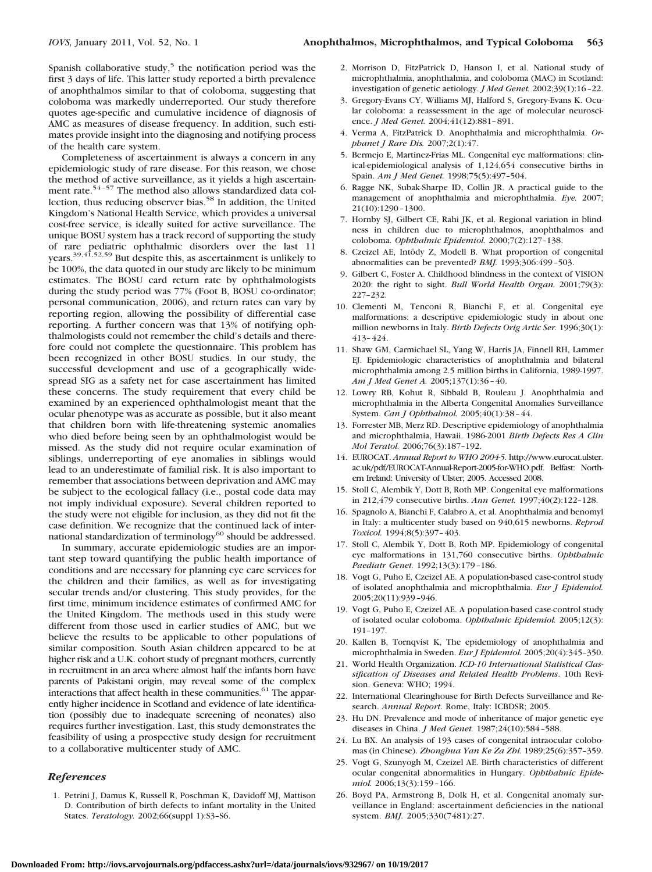Spanish collaborative study,<sup>5</sup> the notification period was the first 3 days of life. This latter study reported a birth prevalence of anophthalmos similar to that of coloboma, suggesting that coloboma was markedly underreported. Our study therefore quotes age-specific and cumulative incidence of diagnosis of AMC as measures of disease frequency. In addition, such estimates provide insight into the diagnosing and notifying process of the health care system.

Completeness of ascertainment is always a concern in any epidemiologic study of rare disease. For this reason, we chose the method of active surveillance, as it yields a high ascertainment rate.54 –57 The method also allows standardized data collection, thus reducing observer bias.<sup>58</sup> In addition, the United Kingdom's National Health Service, which provides a universal cost-free service, is ideally suited for active surveillance. The unique BOSU system has a track record of supporting the study of rare pediatric ophthalmic disorders over the last 11 years.39,41,52,59 But despite this, as ascertainment is unlikely to be 100%, the data quoted in our study are likely to be minimum estimates. The BOSU card return rate by ophthalmologists during the study period was 77% (Foot B, BOSU co-ordinator; personal communication, 2006), and return rates can vary by reporting region, allowing the possibility of differential case reporting. A further concern was that 13% of notifying ophthalmologists could not remember the child's details and therefore could not complete the questionnaire. This problem has been recognized in other BOSU studies. In our study, the successful development and use of a geographically widespread SIG as a safety net for case ascertainment has limited these concerns. The study requirement that every child be examined by an experienced ophthalmologist meant that the ocular phenotype was as accurate as possible, but it also meant that children born with life-threatening systemic anomalies who died before being seen by an ophthalmologist would be missed. As the study did not require ocular examination of siblings, underreporting of eye anomalies in siblings would lead to an underestimate of familial risk. It is also important to remember that associations between deprivation and AMC may be subject to the ecological fallacy (i.e., postal code data may not imply individual exposure). Several children reported to the study were not eligible for inclusion, as they did not fit the case definition. We recognize that the continued lack of international standardization of terminology<sup>60</sup> should be addressed.

In summary, accurate epidemiologic studies are an important step toward quantifying the public health importance of conditions and are necessary for planning eye care services for the children and their families, as well as for investigating secular trends and/or clustering. This study provides, for the first time, minimum incidence estimates of confirmed AMC for the United Kingdom. The methods used in this study were different from those used in earlier studies of AMC, but we believe the results to be applicable to other populations of similar composition. South Asian children appeared to be at higher risk and a U.K. cohort study of pregnant mothers, currently in recruitment in an area where almost half the infants born have parents of Pakistani origin, may reveal some of the complex interactions that affect health in these communities.<sup>61</sup> The apparently higher incidence in Scotland and evidence of late identification (possibly due to inadequate screening of neonates) also requires further investigation. Last, this study demonstrates the feasibility of using a prospective study design for recruitment to a collaborative multicenter study of AMC.

#### *References*

1. Petrini J, Damus K, Russell R, Poschman K, Davidoff MJ, Mattison D. Contribution of birth defects to infant mortality in the United States. *Teratology.* 2002;66(suppl 1):S3–S6.

- 2. Morrison D, FitzPatrick D, Hanson I, et al. National study of microphthalmia, anophthalmia, and coloboma (MAC) in Scotland: investigation of genetic aetiology. *J Med Genet.* 2002;39(1):16 –22.
- 3. Gregory-Evans CY, Williams MJ, Halford S, Gregory-Evans K. Ocular coloboma: a reassessment in the age of molecular neuroscience. *J Med Genet.* 2004;41(12):881– 891.
- 4. Verma A, FitzPatrick D. Anophthalmia and microphthalmia. *Orphanet J Rare Dis.* 2007;2(1):47.
- 5. Bermejo E, Martinez-Frias ML. Congenital eye malformations: clinical-epidemiological analysis of 1,124,654 consecutive births in Spain. *Am J Med Genet.* 1998;75(5):497–504.
- 6. Ragge NK, Subak-Sharpe ID, Collin JR. A practical guide to the management of anophthalmia and microphthalmia. *Eye.* 2007; 21(10):1290 –1300.
- 7. Hornby SJ, Gilbert CE, Rahi JK, et al. Regional variation in blindness in children due to microphthalmos, anophthalmos and coloboma. *Ophthalmic Epidemiol.* 2000;7(2):127–138.
- 8. Czeizel AE, Intôdy Z, Modell B. What proportion of congenital abnormalities can be prevented? *BMJ.* 1993;306:499 –503.
- 9. Gilbert C, Foster A. Childhood blindness in the context of VISION 2020: the right to sight. *Bull World Health Organ.* 2001;79(3): 227–232.
- 10. Clementi M, Tenconi R, Bianchi F, et al. Congenital eye malformations: a descriptive epidemiologic study in about one million newborns in Italy. *Birth Defects Orig Artic Ser.* 1996;30(1): 413– 424.
- 11. Shaw GM, Carmichael SL, Yang W, Harris JA, Finnell RH, Lammer EJ. Epidemiologic characteristics of anophthalmia and bilateral microphthalmia among 2.5 million births in California, 1989-1997. *Am J Med Genet A.* 2005;137(1):36 – 40.
- 12. Lowry RB, Kohut R, Sibbald B, Rouleau J. Anophthalmia and microphthalmia in the Alberta Congenital Anomalies Surveillance System. *Can J Ophthalmol.* 2005;40(1):38 – 44.
- 13. Forrester MB, Merz RD. Descriptive epidemiology of anophthalmia and microphthalmia, Hawaii. 1986-2001 *Birth Defects Res A Clin Mol Teratol.* 2006;76(3):187–192.
- 14. EUROCAT. *Annual Report to WHO 2004*-*5*. http://www.eurocat.ulster. ac.uk/pdf/EUROCAT-Annual-Report-2005-for-WHO.pdf. Belfast: Northern Ireland: University of Ulster; 2005. Accessed 2008.
- 15. Stoll C, Alembik Y, Dott B, Roth MP. Congenital eye malformations in 212,479 consecutive births. *Ann Genet.* 1997;40(2):122–128.
- 16. Spagnolo A, Bianchi F, Calabro A, et al. Anophthalmia and benomyl in Italy: a multicenter study based on 940,615 newborns. *Reprod Toxicol.* 1994;8(5):397– 403.
- 17. Stoll C, Alembik Y, Dott B, Roth MP. Epidemiology of congenital eye malformations in 131,760 consecutive births. *Ophthalmic Paediatr Genet.* 1992;13(3):179 –186.
- 18. Vogt G, Puho E, Czeizel AE. A population-based case-control study of isolated anophthalmia and microphthalmia. *Eur J Epidemiol.* 2005;20(11):939 –946.
- 19. Vogt G, Puho E, Czeizel AE. A population-based case-control study of isolated ocular coloboma. *Ophthalmic Epidemiol.* 2005;12(3): 191–197.
- 20. Kallen B, Tornqvist K, The epidemiology of anophthalmia and microphthalmia in Sweden. *Eur J Epidemiol.* 2005;20(4):345–350.
- 21. World Health Organization. *ICD-10 International Statistical Classification of Diseases and Related Health Problems*. 10th Revision. Geneva: WHO; 1994.
- 22. International Clearinghouse for Birth Defects Surveillance and Research. *Annual Report*. Rome, Italy: ICBDSR; 2005.
- 23. Hu DN. Prevalence and mode of inheritance of major genetic eye diseases in China. *J Med Genet.* 1987;24(10):584 –588.
- 24. Lu BX. An analysis of 193 cases of congenital intraocular colobomas (in Chinese). *Zhonghua Yan Ke Za Zhi.* 1989;25(6):357–359.
- 25. Vogt G, Szunyogh M, Czeizel AE. Birth characteristics of different ocular congenital abnormalities in Hungary. *Ophthalmic Epidemiol.* 2006;13(3):159 –166.
- 26. Boyd PA, Armstrong B, Dolk H, et al. Congenital anomaly surveillance in England: ascertainment deficiencies in the national system. *BMJ.* 2005;330(7481):27.